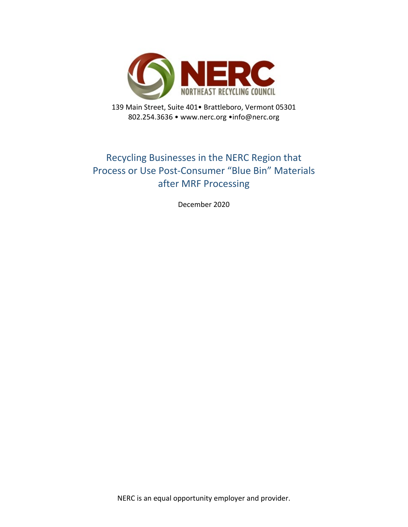

139 Main Street, Suite 401• Brattleboro, Vermont 05301 802.254.3636 • www.nerc.org •info@nerc.org

## Recycling Businesses in the NERC Region that Process or Use Post-Consumer "Blue Bin" Materials after MRF Processing

December 2020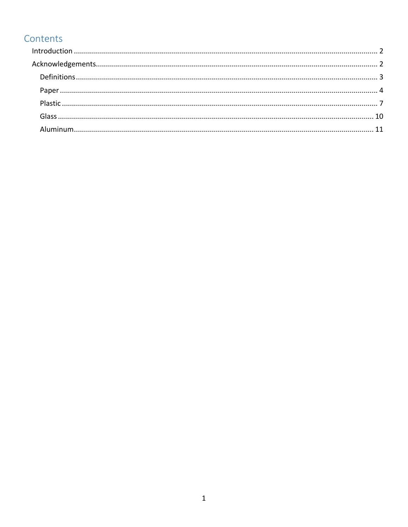## Contents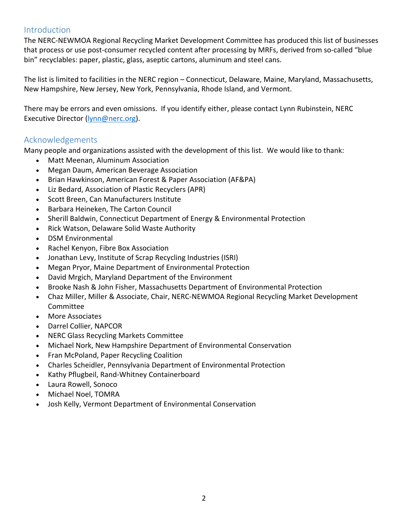#### <span id="page-2-0"></span>Introduction

The NERC-NEWMOA Regional Recycling Market Development Committee has produced this list of businesses that process or use post-consumer recycled content after processing by MRFs, derived from so-called "blue bin" recyclables: paper, plastic, glass, aseptic cartons, aluminum and steel cans.

The list is limited to facilities in the NERC region – Connecticut, Delaware, Maine, Maryland, Massachusetts, New Hampshire, New Jersey, New York, Pennsylvania, Rhode Island, and Vermont.

There may be errors and even omissions. If you identify either, please contact Lynn Rubinstein, NERC Executive Director [\(lynn@nerc.org\)](mailto:lynn@nerc.org).

### <span id="page-2-1"></span>Acknowledgements

Many people and organizations assisted with the development of this list. We would like to thank:

- Matt Meenan, Aluminum Association
- Megan Daum, American Beverage Association
- Brian Hawkinson, American Forest & Paper Association (AF&PA)
- Liz Bedard, Association of Plastic Recyclers (APR)
- Scott Breen, Can Manufacturers Institute
- Barbara Heineken, The Carton Council
- Sherill Baldwin, Connecticut Department of Energy & Environmental Protection
- Rick Watson, Delaware Solid Waste Authority
- DSM Environmental
- Rachel Kenyon, Fibre Box Association
- Jonathan Levy, Institute of Scrap Recycling Industries (ISRI)
- Megan Pryor, Maine Department of Environmental Protection
- David Mrgich, Maryland Department of the Environment
- Brooke Nash & John Fisher, Massachusetts Department of Environmental Protection
- Chaz Miller, Miller & Associate, Chair, NERC-NEWMOA Regional Recycling Market Development Committee
- More Associates
- Darrel Collier, NAPCOR
- NERC Glass Recycling Markets Committee
- Michael Nork, New Hampshire Department of Environmental Conservation
- Fran McPoland, Paper Recycling Coalition
- Charles Scheidler, Pennsylvania Department of Environmental Protection
- Kathy Pflugbeil, Rand-Whitney Containerboard
- Laura Rowell, Sonoco
- Michael Noel, TOMRA
- <span id="page-2-2"></span>• Josh Kelly, Vermont Department of Environmental Conservation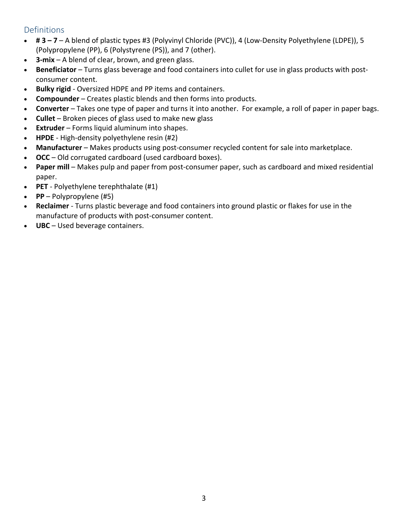### Definitions

- **# 3 – 7** A blend of plastic types #3 (Polyvinyl Chloride (PVC)), 4 (Low-Density Polyethylene (LDPE)), 5 (Polypropylene (PP), 6 (Polystyrene (PS)), and 7 (other).
- **3-mix** A blend of clear, brown, and green glass.
- **Beneficiator** Turns glass beverage and food containers into cullet for use in glass products with postconsumer content.
- **Bulky rigid** Oversized HDPE and PP items and containers.
- **Compounder** Creates plastic blends and then forms into products.
- **Converter** Takes one type of paper and turns it into another. For example, a roll of paper in paper bags.
- **Cullet** Broken pieces of glass used to make new glass
- **Extruder** Forms liquid aluminum into shapes.
- **HPDE** High-density polyethylene resin (#2)
- **Manufacturer** Makes products using post-consumer recycled content for sale into marketplace.
- **OCC** Old corrugated cardboard (used cardboard boxes).
- **Paper mill** Makes pulp and paper from post-consumer paper, such as cardboard and mixed residential paper.
- **PET** Polyethylene terephthalate (#1)
- **PP** Polypropylene (#5)
- **Reclaimer** Turns plastic beverage and food containers into ground plastic or flakes for use in the manufacture of products with post-consumer content.
- **UBC** Used beverage containers.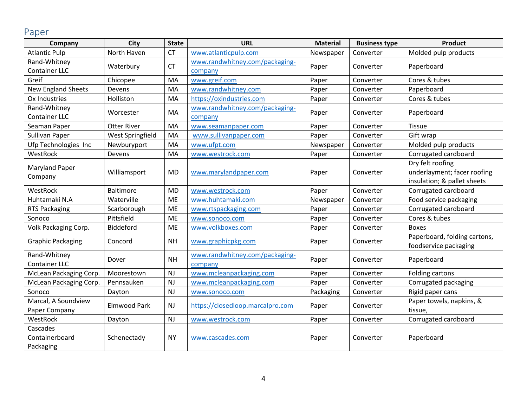## Paper

<span id="page-4-0"></span>

| Company                   | City                | <b>State</b> | <b>URL</b>                       | <b>Material</b> | <b>Business type</b> | <b>Product</b>               |  |
|---------------------------|---------------------|--------------|----------------------------------|-----------------|----------------------|------------------------------|--|
| <b>Atlantic Pulp</b>      | North Haven         | <b>CT</b>    | www.atlanticpulp.com             | Newspaper       | Converter            | Molded pulp products         |  |
| Rand-Whitney              | Waterbury           | <b>CT</b>    | www.randwhitney.com/packaging-   | Paper           | Converter            | Paperboard                   |  |
| <b>Container LLC</b>      |                     |              | company                          |                 |                      |                              |  |
| Greif                     | Chicopee            | MA           | www.greif.com                    | Paper           | Converter            | Cores & tubes                |  |
| <b>New England Sheets</b> | Devens              | MA           | www.randwhitney.com              | Paper           | Converter            | Paperboard                   |  |
| Ox Industries             | Holliston           | MA           | https://oxindustries.com         | Paper           | Converter            | Cores & tubes                |  |
| Rand-Whitney              | Worcester           | <b>MA</b>    | www.randwhitney.com/packaging-   | Paper           | Converter            | Paperboard                   |  |
| <b>Container LLC</b>      |                     |              | company                          |                 |                      |                              |  |
| Seaman Paper              | <b>Otter River</b>  | MA           | www.seamanpaper.com              | Paper           | Converter            | Tissue                       |  |
| Sullivan Paper            | West Springfield    | MA           | www.sullivanpaper.com            | Paper           | Converter            | Gift wrap                    |  |
| Ufp Technologies Inc      | Newburyport         | MA           | www.ufpt.com                     | Newspaper       | Converter            | Molded pulp products         |  |
| WestRock                  | Devens              | MA           | www.westrock.com                 | Paper           | Converter            | Corrugated cardboard         |  |
| <b>Maryland Paper</b>     |                     |              |                                  |                 |                      | Dry felt roofing             |  |
| Company                   | Williamsport        | <b>MD</b>    | www.marylandpaper.com            | Paper           | Converter            | underlayment; facer roofing  |  |
|                           |                     |              |                                  |                 |                      | insulation; & pallet sheets  |  |
| WestRock                  | <b>Baltimore</b>    | <b>MD</b>    | www.westrock.com                 | Paper           | Converter            | Corrugated cardboard         |  |
| Huhtamaki N.A             | Waterville          | <b>ME</b>    | www.huhtamaki.com                | Newspaper       | Converter            | Food service packaging       |  |
| <b>RTS Packaging</b>      | Scarborough         | ME           | www.rtspackaging.com             | Paper           | Converter            | Corrugated cardboard         |  |
| Sonoco                    | Pittsfield          | <b>ME</b>    | www.sonoco.com                   | Paper           | Converter            | Cores & tubes                |  |
| Volk Packaging Corp.      | Biddeford           | <b>ME</b>    | www.volkboxes.com                | Paper           | Converter            | <b>Boxes</b>                 |  |
| <b>Graphic Packaging</b>  | Concord             | <b>NH</b>    | www.graphicpkg.com               | Paper           | Converter            | Paperboard, folding cartons, |  |
|                           |                     |              |                                  |                 |                      | foodservice packaging        |  |
| Rand-Whitney              | Dover               | <b>NH</b>    | www.randwhitney.com/packaging-   | Paper           | Converter            | Paperboard                   |  |
| <b>Container LLC</b>      |                     |              | company                          |                 |                      |                              |  |
| McLean Packaging Corp.    | Moorestown          | NJ           | www.mcleanpackaging.com          | Paper           | Converter            | Folding cartons              |  |
| McLean Packaging Corp.    | Pennsauken          | <b>NJ</b>    | www.mcleanpackaging.com          | Paper           | Converter            | Corrugated packaging         |  |
| Sonoco                    | Dayton              | NJ           | www.sonoco.com                   | Packaging       | Converter            | Rigid paper cans             |  |
| Marcal, A Soundview       | <b>Elmwood Park</b> | <b>NJ</b>    | https://closedloop.marcalpro.com | Paper           | Converter            | Paper towels, napkins, &     |  |
| Paper Company             |                     |              |                                  |                 |                      | tissue,                      |  |
| WestRock                  | Dayton              | NJ           | www.westrock.com                 | Paper           | Converter            | Corrugated cardboard         |  |
| Cascades                  |                     |              |                                  |                 |                      |                              |  |
| Containerboard            | Schenectady         | <b>NY</b>    | www.cascades.com                 | Paper           | Converter            | Paperboard                   |  |
| Packaging                 |                     |              |                                  |                 |                      |                              |  |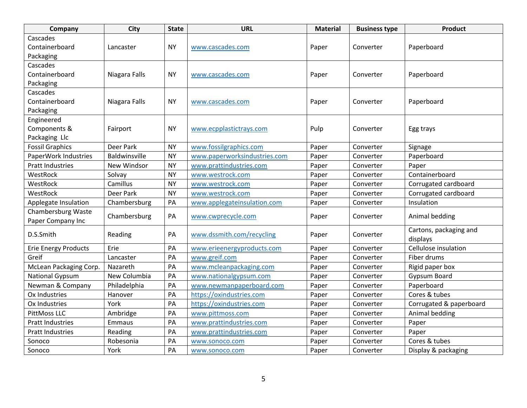| Company                                 | City          | <b>State</b> | <b>URL</b>                   | <b>Material</b> | <b>Business type</b> | <b>Product</b>                     |
|-----------------------------------------|---------------|--------------|------------------------------|-----------------|----------------------|------------------------------------|
| Cascades                                |               |              |                              |                 |                      |                                    |
| Containerboard                          | Lancaster     | <b>NY</b>    | www.cascades.com             | Paper           | Converter            | Paperboard                         |
| Packaging                               |               |              |                              |                 |                      |                                    |
| Cascades                                |               |              |                              |                 |                      |                                    |
| Containerboard                          | Niagara Falls | <b>NY</b>    | www.cascades.com             | Paper           | Converter            | Paperboard                         |
| Packaging                               |               |              |                              |                 |                      |                                    |
| Cascades                                |               |              |                              |                 |                      |                                    |
| Containerboard                          | Niagara Falls | <b>NY</b>    | www.cascades.com             | Paper           | Converter            | Paperboard                         |
| Packaging                               |               |              |                              |                 |                      |                                    |
| Engineered                              |               |              |                              |                 |                      |                                    |
| Components &                            | Fairport      | <b>NY</b>    | www.ecpplastictrays.com      | Pulp            | Converter            | Egg trays                          |
| Packaging Llc                           |               |              |                              |                 |                      |                                    |
| <b>Fossil Graphics</b>                  | Deer Park     | <b>NY</b>    | www.fossilgraphics.com       | Paper           | Converter            | Signage                            |
| PaperWork Industries                    | Baldwinsville | <b>NY</b>    | www.paperworksindustries.com | Paper           | Converter            | Paperboard                         |
| <b>Pratt Industries</b>                 | New Windsor   | <b>NY</b>    | www.prattindustries.com      | Paper           | Converter            | Paper                              |
| WestRock                                | Solvay        | <b>NY</b>    | www.westrock.com             | Paper           | Converter            | Containerboard                     |
| WestRock                                | Camillus      | <b>NY</b>    | www.westrock.com             | Paper           | Converter            | Corrugated cardboard               |
| WestRock                                | Deer Park     | <b>NY</b>    | www.westrock.com             | Paper           | Converter            | Corrugated cardboard               |
| Applegate Insulation                    | Chambersburg  | PA           | www.applegateinsulation.com  | Paper           | Converter            | Insulation                         |
| Chambersburg Waste<br>Paper Company Inc | Chambersburg  | PA           | www.cwprecycle.com           | Paper           | Converter            | Animal bedding                     |
| D.S.Smith                               | Reading       | PA           | www.dssmith.com/recycling    | Paper           | Converter            | Cartons, packaging and<br>displays |
| <b>Erie Energy Products</b>             | Erie          | PA           | www.erieenergyproducts.com   | Paper           | Converter            | Cellulose insulation               |
| Greif                                   | Lancaster     | PA           | www.greif.com                | Paper           | Converter            | Fiber drums                        |
| McLean Packaging Corp.                  | Nazareth      | PA           | www.mcleanpackaging.com      | Paper           | Converter            | Rigid paper box                    |
| <b>National Gypsum</b>                  | New Columbia  | PA           | www.nationalgypsum.com       | Paper           | Converter            | Gypsum Board                       |
| Newman & Company                        | Philadelphia  | PA           | www.newmanpaperboard.com     | Paper           | Converter            | Paperboard                         |
| Ox Industries                           | Hanover       | PA           | https://oxindustries.com     | Paper           | Converter            | Cores & tubes                      |
| Ox Industries                           | York          | PA           | https://oxindustries.com     | Paper           | Converter            | Corrugated & paperboard            |
| PittMoss LLC                            | Ambridge      | PA           | www.pittmoss.com             | Paper           | Converter            | Animal bedding                     |
| <b>Pratt Industries</b>                 | <b>Emmaus</b> | PA           | www.prattindustries.com      | Paper           | Converter            | Paper                              |
| <b>Pratt Industries</b>                 | Reading       | PA           | www.prattindustries.com      | Paper           | Converter            | Paper                              |
| Sonoco                                  | Robesonia     | PA           |                              |                 | Converter            | Cores & tubes                      |
|                                         |               |              | www.sonoco.com               | Paper           |                      |                                    |
| Sonoco                                  | York          | PA           | www.sonoco.com               | Paper           | Converter            | Display & packaging                |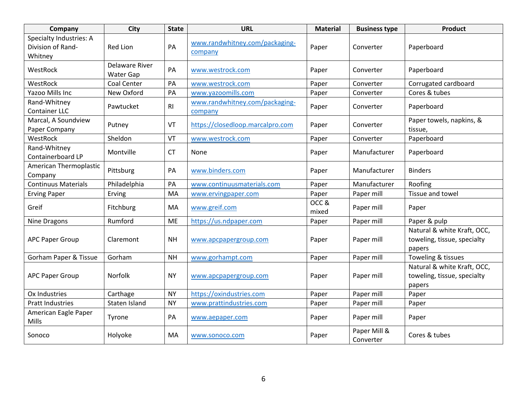| Company                                                        | <b>City</b>                 | <b>State</b> | <b>URL</b>                                | <b>Material</b> | <b>Business type</b>      | <b>Product</b>                                                       |
|----------------------------------------------------------------|-----------------------------|--------------|-------------------------------------------|-----------------|---------------------------|----------------------------------------------------------------------|
| <b>Specialty Industries: A</b><br>Division of Rand-<br>Whitney | <b>Red Lion</b>             | PA           | www.randwhitney.com/packaging-<br>company | Paper           | Converter                 | Paperboard                                                           |
| WestRock                                                       | Delaware River<br>Water Gap | PA           | www.westrock.com                          | Paper           | Converter                 | Paperboard                                                           |
| WestRock                                                       | Coal Center                 | PA           | www.westrock.com                          | Paper           | Converter                 | Corrugated cardboard                                                 |
| Yazoo Mills Inc                                                | New Oxford                  | PA           | www.yazoomills.com                        | Paper           | Converter                 | Cores & tubes                                                        |
| Rand-Whitney<br><b>Container LLC</b>                           | Pawtucket                   | R1           | www.randwhitney.com/packaging-<br>company | Paper           | Converter                 | Paperboard                                                           |
| Marcal, A Soundview<br>Paper Company                           | Putney                      | VT           | https://closedloop.marcalpro.com          | Paper           | Converter                 | Paper towels, napkins, &<br>tissue,                                  |
| WestRock                                                       | Sheldon                     | VT           | www.westrock.com                          | Paper           | Converter                 | Paperboard                                                           |
| Rand-Whitney<br>Containerboard LP                              | Montville                   | <b>CT</b>    | None                                      | Paper           | Manufacturer              | Paperboard                                                           |
| American Thermoplastic<br>Company                              | Pittsburg                   | PA           | www.binders.com                           | Paper           | Manufacturer              | <b>Binders</b>                                                       |
| <b>Continuus Materials</b>                                     | Philadelphia                | PA           | www.continuusmaterials.com                | Paper           | Manufacturer              | Roofing                                                              |
| <b>Erving Paper</b>                                            | Erving                      | MA           | www.ervingpaper.com                       | Paper           | Paper mill                | Tissue and towel                                                     |
| Greif                                                          | Fitchburg                   | MA           | www.greif.com                             | OCC&<br>mixed   | Paper mill                | Paper                                                                |
| Nine Dragons                                                   | Rumford                     | <b>ME</b>    | https://us.ndpaper.com                    | Paper           | Paper mill                | Paper & pulp                                                         |
| <b>APC Paper Group</b>                                         | Claremont                   | <b>NH</b>    | www.apcpapergroup.com                     | Paper           | Paper mill                | Natural & white Kraft, OCC,<br>toweling, tissue, specialty<br>papers |
| <b>Gorham Paper &amp; Tissue</b>                               | Gorham                      | <b>NH</b>    | www.gorhampt.com                          | Paper           | Paper mill                | Toweling & tissues                                                   |
| <b>APC Paper Group</b>                                         | Norfolk                     | <b>NY</b>    | www.apcpapergroup.com                     | Paper           | Paper mill                | Natural & white Kraft, OCC,<br>toweling, tissue, specialty<br>papers |
| Ox Industries                                                  | Carthage                    | <b>NY</b>    | https://oxindustries.com                  | Paper           | Paper mill                | Paper                                                                |
| <b>Pratt Industries</b>                                        | Staten Island               | <b>NY</b>    | www.prattindustries.com                   | Paper           | Paper mill                | Paper                                                                |
| American Eagle Paper<br>Mills                                  | Tyrone                      | PA           | www.aepaper.com                           | Paper           | Paper mill                | Paper                                                                |
| Sonoco                                                         | Holyoke                     | MA           | www.sonoco.com                            | Paper           | Paper Mill &<br>Converter | Cores & tubes                                                        |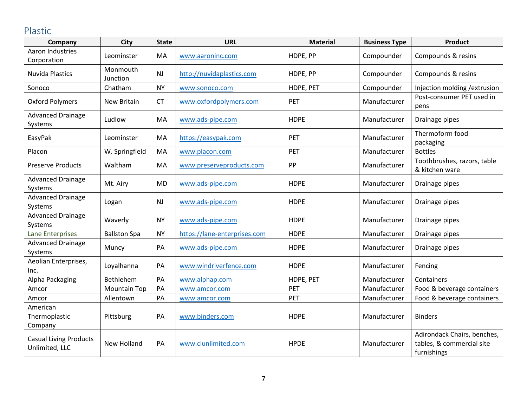# Plastic

<span id="page-7-0"></span>

| Company                                         | <b>City</b>          | <b>State</b> | <b>URL</b>                   | <b>Material</b> | <b>Business Type</b> | <b>Product</b>                                                          |
|-------------------------------------------------|----------------------|--------------|------------------------------|-----------------|----------------------|-------------------------------------------------------------------------|
| Aaron Industries<br>Corporation                 | Leominster           | MA           | www.aaroninc.com             | HDPE, PP        | Compounder           | Compounds & resins                                                      |
| <b>Nuvida Plastics</b>                          | Monmouth<br>Junction | NJ           | http://nuvidaplastics.com    | HDPE, PP        | Compounder           | Compounds & resins                                                      |
| Sonoco                                          | Chatham              | <b>NY</b>    | www.sonoco.com               | HDPE, PET       | Compounder           | Injection molding / extrusion                                           |
| <b>Oxford Polymers</b>                          | <b>New Britain</b>   | <b>CT</b>    | www.oxfordpolymers.com       | PET             | Manufacturer         | Post-consumer PET used in<br>pens                                       |
| <b>Advanced Drainage</b><br>Systems             | Ludlow               | MA           | www.ads-pipe.com             | <b>HDPE</b>     | Manufacturer         | Drainage pipes                                                          |
| EasyPak                                         | Leominster           | MA           | https://easypak.com          | PET             | Manufacturer         | Thermoform food<br>packaging                                            |
| Placon                                          | W. Springfield       | MA           | www.placon.com               | PET             | Manufacturer         | <b>Bottles</b>                                                          |
| <b>Preserve Products</b>                        | Waltham              | MA           | www.preserveproducts.com     | PP              | Manufacturer         | Toothbrushes, razors, table<br>& kitchen ware                           |
| <b>Advanced Drainage</b><br>Systems             | Mt. Airy             | <b>MD</b>    | www.ads-pipe.com             | <b>HDPE</b>     | Manufacturer         | Drainage pipes                                                          |
| <b>Advanced Drainage</b><br>Systems             | Logan                | <b>NJ</b>    | www.ads-pipe.com             | <b>HDPE</b>     | Manufacturer         | Drainage pipes                                                          |
| <b>Advanced Drainage</b><br>Systems             | Waverly              | <b>NY</b>    | www.ads-pipe.com             | <b>HDPE</b>     | Manufacturer         | Drainage pipes                                                          |
| Lane Enterprises                                | <b>Ballston Spa</b>  | <b>NY</b>    | https://lane-enterprises.com | <b>HDPE</b>     | Manufacturer         | Drainage pipes                                                          |
| <b>Advanced Drainage</b><br>Systems             | Muncy                | PA           | www.ads-pipe.com             | <b>HDPE</b>     | Manufacturer         | Drainage pipes                                                          |
| Aeolian Enterprises,<br>Inc.                    | Loyalhanna           | PA           | www.windriverfence.com       | <b>HDPE</b>     | Manufacturer         | Fencing                                                                 |
| Alpha Packaging                                 | Bethlehem            | PA           | www.alphap.com               | HDPE, PET       | Manufacturer         | Containers                                                              |
| Amcor                                           | <b>Mountain Top</b>  | PA           | www.amcor.com                | PET             | Manufacturer         | Food & beverage containers                                              |
| Amcor                                           | Allentown            | PA           | www.amcor.com                | PET             | Manufacturer         | Food & beverage containers                                              |
| American<br>Thermoplastic<br>Company            | Pittsburg            | PA           | www.binders.com              | <b>HDPE</b>     | Manufacturer         | <b>Binders</b>                                                          |
| <b>Casual Living Products</b><br>Unlimited, LLC | New Holland          | PA           | www.clunlimited.com          | <b>HPDE</b>     | Manufacturer         | Adirondack Chairs, benches,<br>tables, & commercial site<br>furnishings |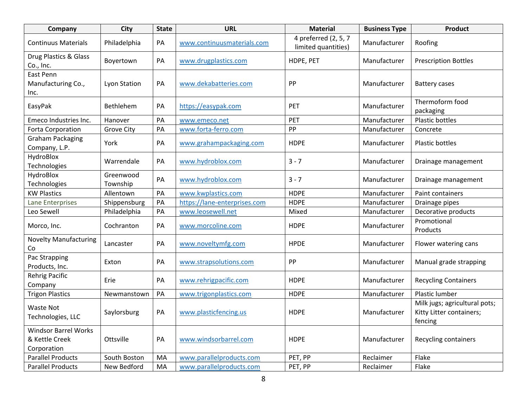| Company                                                      | <b>City</b>           | <b>State</b> | <b>URL</b>                   | <b>Material</b>                             | <b>Business Type</b> | <b>Product</b>                                                       |
|--------------------------------------------------------------|-----------------------|--------------|------------------------------|---------------------------------------------|----------------------|----------------------------------------------------------------------|
| <b>Continuus Materials</b>                                   | Philadelphia          | PA           | www.continuusmaterials.com   | 4 preferred (2, 5, 7<br>limited quantities) | Manufacturer         | Roofing                                                              |
| Drug Plastics & Glass<br>Co., Inc.                           | Boyertown             | PA           | www.drugplastics.com         | HDPE, PET                                   | Manufacturer         | <b>Prescription Bottles</b>                                          |
| East Penn<br>Manufacturing Co.,<br>Inc.                      | <b>Lyon Station</b>   | PA           | www.dekabatteries.com        | PP                                          | Manufacturer         | <b>Battery cases</b>                                                 |
| EasyPak                                                      | Bethlehem             | PA           | https://easypak.com          | PET                                         | Manufacturer         | Thermoform food<br>packaging                                         |
| Emeco Industries Inc.                                        | Hanover               | PA           | www.emeco.net                | PET                                         | Manufacturer         | Plastic bottles                                                      |
| Forta Corporation                                            | <b>Grove City</b>     | PA           | www.forta-ferro.com          | PP                                          | Manufacturer         | Concrete                                                             |
| <b>Graham Packaging</b><br>Company, L.P.                     | York                  | PA           | www.grahampackaging.com      | <b>HDPE</b>                                 | Manufacturer         | Plastic bottles                                                      |
| HydroBlox<br>Technologies                                    | Warrendale            | PA           | www.hydroblox.com            | $3 - 7$                                     | Manufacturer         | Drainage management                                                  |
| HydroBlox<br>Technologies                                    | Greenwood<br>Township | PA           | www.hydroblox.com            | $3 - 7$                                     | Manufacturer         | Drainage management                                                  |
| <b>KW Plastics</b>                                           | Allentown             | PA           | www.kwplastics.com           | <b>HDPE</b>                                 | Manufacturer         | Paint containers                                                     |
| <b>Lane Enterprises</b>                                      | Shippensburg          | PA           | https://lane-enterprises.com | <b>HDPE</b>                                 | Manufacturer         | Drainage pipes                                                       |
| Leo Sewell                                                   | Philadelphia          | PA           | www.leosewell.net            | Mixed                                       | Manufacturer         | Decorative products                                                  |
| Morco, Inc.                                                  | Cochranton            | PA           | www.morcoline.com            | <b>HDPE</b>                                 | Manufacturer         | Promotional<br>Products                                              |
| <b>Novelty Manufacturing</b><br>Co                           | Lancaster             | PA           | www.noveltymfg.com           | <b>HPDE</b>                                 | Manufacturer         | Flower watering cans                                                 |
| Pac Strapping<br>Products, Inc.                              | Exton                 | PA           | www.strapsolutions.com       | PP                                          | Manufacturer         | Manual grade strapping                                               |
| <b>Rehrig Pacific</b><br>Company                             | Erie                  | PA           | www.rehrigpacific.com        | <b>HDPE</b>                                 | Manufacturer         | <b>Recycling Containers</b>                                          |
| <b>Trigon Plastics</b>                                       | Newmanstown           | PA           | www.trigonplastics.com       | <b>HDPE</b>                                 | Manufacturer         | Plastic lumber                                                       |
| <b>Waste Not</b><br>Technologies, LLC                        | Saylorsburg           | PA           | www.plasticfencing.us        | <b>HDPE</b>                                 | Manufacturer         | Milk jugs; agricultural pots;<br>Kitty Litter containers;<br>fencing |
| <b>Windsor Barrel Works</b><br>& Kettle Creek<br>Corporation | Ottsville             | PA           | www.windsorbarrel.com        | <b>HDPE</b>                                 | Manufacturer         | Recycling containers                                                 |
| <b>Parallel Products</b>                                     | South Boston          | MA           | www.parallelproducts.com     | PET, PP                                     | Reclaimer            | Flake                                                                |
| <b>Parallel Products</b>                                     | New Bedford           | MA           | www.parallelproducts.com     | PET, PP                                     | Reclaimer            | Flake                                                                |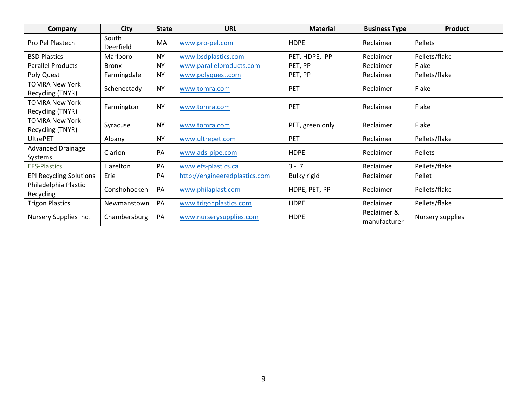| Company                                   | <b>City</b>        | <b>State</b> | <b>URL</b>                    | <b>Material</b> | <b>Business Type</b>        | Product          |
|-------------------------------------------|--------------------|--------------|-------------------------------|-----------------|-----------------------------|------------------|
| Pro Pel Plastech                          | South<br>Deerfield | MA           | www.pro-pel.com               | <b>HDPE</b>     | Reclaimer                   | Pellets          |
| <b>BSD Plastics</b>                       | Marlboro           | <b>NY</b>    | www.bsdplastics.com           | PET, HDPE, PP   | Reclaimer                   | Pellets/flake    |
| <b>Parallel Products</b>                  | <b>Bronx</b>       | <b>NY</b>    | www.parallelproducts.com      | PET, PP         | Reclaimer                   | Flake            |
| Poly Quest                                | Farmingdale        | <b>NY</b>    | www.polyquest.com             | PET, PP         | Reclaimer                   | Pellets/flake    |
| <b>TOMRA New York</b><br>Recycling (TNYR) | Schenectady        | <b>NY</b>    | www.tomra.com                 | <b>PET</b>      | Reclaimer                   | Flake            |
| TOMRA New York<br>Recycling (TNYR)        | Farmington         | <b>NY</b>    | www.tomra.com                 | PET             | Reclaimer                   | Flake            |
| TOMRA New York<br>Recycling (TNYR)        | Syracuse           | <b>NY</b>    | www.tomra.com                 | PET, green only | Reclaimer                   | Flake            |
| <b>UltrePET</b>                           | Albany             | <b>NY</b>    | www.ultrepet.com              | PET             | Reclaimer                   | Pellets/flake    |
| <b>Advanced Drainage</b><br>Systems       | Clarion            | PA           | www.ads-pipe.com              | <b>HDPE</b>     | Reclaimer                   | Pellets          |
| <b>EFS-Plastics</b>                       | Hazelton           | PA           | www.efs-plastics.ca           | $3 - 7$         | Reclaimer                   | Pellets/flake    |
| <b>EPI Recycling Solutions</b>            | Erie               | PA           | http://engineeredplastics.com | Bulky rigid     | Reclaimer                   | Pellet           |
| Philadelphia Plastic<br>Recycling         | Conshohocken       | PA           | www.philaplast.com            | HDPE, PET, PP   | Reclaimer                   | Pellets/flake    |
| <b>Trigon Plastics</b>                    | Newmanstown        | PA           | www.trigonplastics.com        | <b>HDPE</b>     | Reclaimer                   | Pellets/flake    |
| Nursery Supplies Inc.                     | Chambersburg       | PA           | www.nurserysupplies.com       | <b>HDPE</b>     | Reclaimer &<br>manufacturer | Nursery supplies |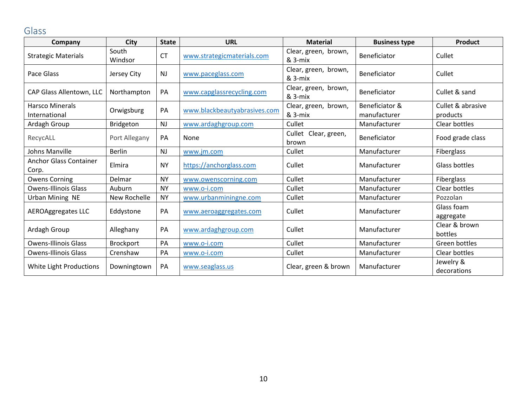# Glass

<span id="page-10-0"></span>

| Company                                 | <b>City</b>      | <b>State</b> | <b>URL</b>                   | <b>Material</b>                 | <b>Business type</b>           | <b>Product</b>                |
|-----------------------------------------|------------------|--------------|------------------------------|---------------------------------|--------------------------------|-------------------------------|
| <b>Strategic Materials</b>              | South<br>Windsor | <b>CT</b>    | www.strategicmaterials.com   | Clear, green, brown,<br>& 3-mix | Beneficiator                   | Cullet                        |
| Pace Glass                              | Jersey City      | <b>NJ</b>    | www.paceglass.com            | Clear, green, brown,<br>& 3-mix | Beneficiator                   | Cullet                        |
| CAP Glass Allentown, LLC                | Northampton      | PA           | www.capglassrecycling.com    | Clear, green, brown,<br>& 3-mix | Beneficiator                   | Cullet & sand                 |
| <b>Harsco Minerals</b><br>International | Orwigsburg       | PA           | www.blackbeautyabrasives.com | Clear, green, brown,<br>& 3-mix | Beneficiator &<br>manufacturer | Cullet & abrasive<br>products |
| Ardagh Group                            | Bridgeton        | <b>NJ</b>    | www.ardaghgroup.com          | Cullet                          | Manufacturer                   | Clear bottles                 |
| RecycALL                                | Port Allegany    | PA           | None                         | Cullet Clear, green,<br>brown   | Beneficiator                   | Food grade class              |
| Johns Manville                          | <b>Berlin</b>    | <b>NJ</b>    | www.jm.com                   | Cullet                          | Manufacturer                   | Fiberglass                    |
| <b>Anchor Glass Container</b><br>Corp.  | Elmira           | <b>NY</b>    | https://anchorglass.com      | Cullet                          | Manufacturer                   | Glass bottles                 |
| <b>Owens Corning</b>                    | Delmar           | <b>NY</b>    | www.owenscorning.com         | Cullet                          | Manufacturer                   | Fiberglass                    |
| <b>Owens-Illinois Glass</b>             | Auburn           | <b>NY</b>    | www.o-i.com                  | Cullet                          | Manufacturer                   | Clear bottles                 |
| Urban Mining NE                         | New Rochelle     | <b>NY</b>    | www.urbanminingne.com        | Cullet                          | Manufacturer                   | Pozzolan                      |
| AEROAggregates LLC                      | Eddystone        | PA           | www.aeroaggregates.com       | Cullet                          | Manufacturer                   | Glass foam<br>aggregate       |
| Ardagh Group                            | Alleghany        | PA           | www.ardaghgroup.com          | Cullet                          | Manufacturer                   | Clear & brown<br>bottles      |
| <b>Owens-Illinois Glass</b>             | Brockport        | PA           | www.o-i.com                  | Cullet                          | Manufacturer                   | Green bottles                 |
| <b>Owens-Illinois Glass</b>             | Crenshaw         | PA           | www.o-i.com                  | Cullet                          | Manufacturer                   | Clear bottles                 |
| White Light Productions                 | Downingtown      | PA           | www.seaglass.us              | Clear, green & brown            | Manufacturer                   | Jewelry &<br>decorations      |